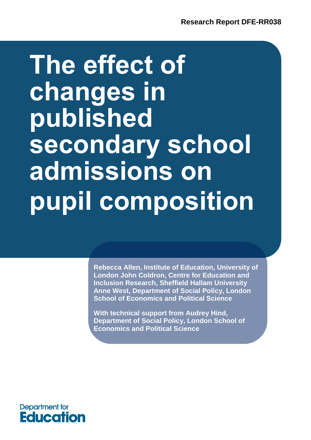# **The effect of changes in published secondary school admissions on pupil composition**

**Rebecca Allen, Institute of Education, University of London John Coldron, Centre for Education and Inclusion Research, Sheffield Hallam University Anne West, Department of Social Policy, London School of Economics and Political Science**

**With technical support from Audrey Hind, Department of Social Policy, London School of Economics and Political Science**

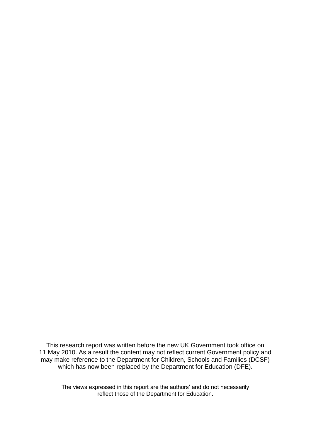This research report was written before the new UK Government took office on 11 May 2010. As a result the content may not reflect current Government policy and may make reference to the Department for Children, Schools and Families (DCSF) which has now been replaced by the Department for Education (DFE).

The views expressed in this report are the authors' and do not necessarily reflect those of the Department for Education.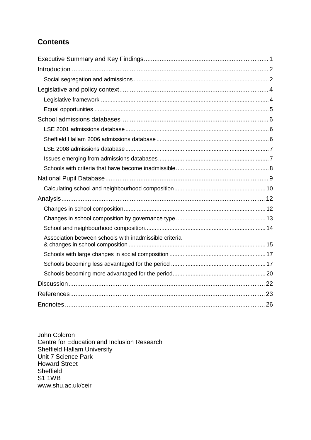# **Contents**

| Association between schools with inadmissible criteria |  |
|--------------------------------------------------------|--|
|                                                        |  |
|                                                        |  |
|                                                        |  |
|                                                        |  |
|                                                        |  |
|                                                        |  |

John Coldron Centre for Education and Inclusion Research Sheffield Hallam University Unit 7 Science Park Howard Street Sheffield S1 1WB <www.shu.ac.uk/ceir>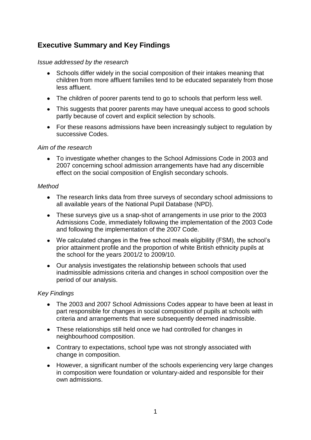# <span id="page-3-0"></span>**Executive Summary and Key Findings**

#### *Issue addressed by the research*

- Schools differ widely in the social composition of their intakes meaning that children from more affluent families tend to be educated separately from those less affluent.
- The children of poorer parents tend to go to schools that perform less well.
- This suggests that poorer parents may have unequal access to good schools partly because of covert and explicit selection by schools.
- For these reasons admissions have been increasingly subject to regulation by successive Codes.

#### *Aim of the research*

To investigate whether changes to the School Admissions Code in 2003 and 2007 concerning school admission arrangements have had any discernible effect on the social composition of English secondary schools.

#### *Method*

- The research links data from three surveys of secondary school admissions to all available years of the National Pupil Database (NPD).
- These surveys give us a snap-shot of arrangements in use prior to the 2003 Admissions Code, immediately following the implementation of the 2003 Code and following the implementation of the 2007 Code.
- We calculated changes in the free school meals eligibility (FSM), the school's prior attainment profile and the proportion of white British ethnicity pupils at the school for the years 2001/2 to 2009/10.
- Our analysis investigates the relationship between schools that used inadmissible admissions criteria and changes in school composition over the period of our analysis.

#### *Key Findings*

- The 2003 and 2007 School Admissions Codes appear to have been at least in part responsible for changes in social composition of pupils at schools with criteria and arrangements that were subsequently deemed inadmissible.
- These relationships still held once we had controlled for changes in neighbourhood composition.
- Contrary to expectations, school type was not strongly associated with change in composition.
- However, a significant number of the schools experiencing very large changes in composition were foundation or voluntary-aided and responsible for their own admissions.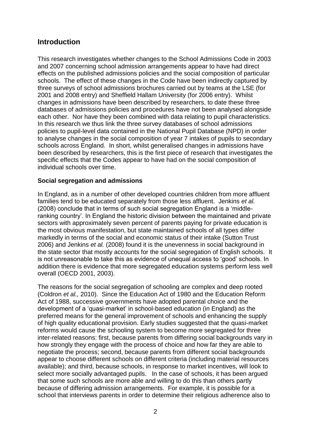## <span id="page-4-0"></span>**Introduction**

This research investigates whether changes to the School Admissions Code in 2003 and 2007 concerning school admission arrangements appear to have had direct effects on the published admissions policies and the social composition of particular schools. The effect of these changes in the Code have been indirectly captured by three surveys of school admissions brochures carried out by teams at the LSE (for 2001 and 2008 entry) and Sheffield Hallam University (for 2006 entry). Whilst changes in admissions have been described by researchers, to date these three databases of admissions policies and procedures have not been analysed alongside each other. Nor have they been combined with data relating to pupil characteristics. In this research we thus link the three survey databases of school admissions policies to pupil-level data contained in the National Pupil Database (NPD) in order to analyse changes in the social composition of year 7 intakes of pupils to secondary schools across England. In short, whilst generalised changes in admissions have been described by researchers, this is the first piece of research that investigates the specific effects that the Codes appear to have had on the social composition of individual schools over time.

#### **Social segregation and admissions**

In England, as in a number of other developed countries children from more affluent families tend to be educated separately from those less affluent. Jenkins *et al.* (2008) conclude that in terms of such social segregation England is a 'middleranking country'. In England the historic division between the maintained and private sectors with approximately seven percent of parents paying for private education is the most obvious manifestation, but state maintained schools of all types differ markedly in terms of the social and economic status of their intake (Sutton Trust 2006) and Jenkins *et al.* (2008) found it is the unevenness in social background in the state sector that mostly accounts for the social segregation of English schools. It is not unreasonable to take this as evidence of unequal access to 'good' schools. In addition there is evidence that more segregated education systems perform less well overall (OECD 2001, 2003).

The reasons for the social segregation of schooling are complex and deep rooted (Coldron *et al.,* 2010). Since the Education Act of 1980 and the Education Reform Act of 1988, successive governments have adopted parental choice and the development of a 'quasi-market' in school-based education (in England) as the preferred means for the general improvement of schools and enhancing the supply of high quality educational provision. Early studies suggested that the quasi-market reforms would cause the schooling system to become more segregated for three inter-related reasons: first, because parents from differing social backgrounds vary in how strongly they engage with the process of choice and how far they are able to negotiate the process; second, because parents from different social backgrounds appear to choose different schools on different criteria (including material resources available); and third, because schools, in response to market incentives, will look to select more socially advantaged pupils. In the case of schools, it has been argued that some such schools are more able and willing to do this than others partly because of differing admission arrangements. For example, it is possible for a school that interviews parents in order to determine their religious adherence also to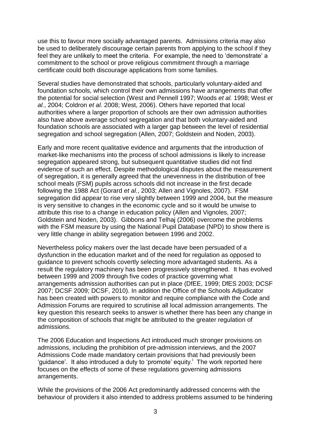use this to favour more socially advantaged parents. Admissions criteria may also be used to deliberately discourage certain parents from applying to the school if they feel they are unlikely to meet the criteria. For example, the need to 'demonstrate' a commitment to the school or prove religious commitment through a marriage certificate could both discourage applications from some families.

Several studies have demonstrated that schools, particularly voluntary-aided and foundation schools, which control their own admissions have arrangements that offer the potential for social selection (West and Pennell 1997; Woods *et al.* 1998; West *et al.*, 2004; Coldron *et al.* 2008; West, 2006). Others have reported that local authorities where a larger proportion of schools are their own admission authorities also have above average school segregation and that both voluntary-aided and foundation schools are associated with a larger gap between the level of residential segregation and school segregation (Allen, 2007; Goldstein and Noden, 2003).

Early and more recent qualitative evidence and arguments that the introduction of market-like mechanisms into the process of school admissions is likely to increase segregation appeared strong, but subsequent quantitative studies did not find evidence of such an effect. Despite methodological disputes about the measurement of segregation, it is generally agreed that the unevenness in the distribution of free school meals (FSM) pupils across schools did not increase in the first decade following the 1988 Act (Gorard *et al.*, 2003; Allen and Vignoles, 2007). FSM segregation did appear to rise very slightly between 1999 and 2004, but the measure is very sensitive to changes in the economic cycle and so it would be unwise to attribute this rise to a change in education policy (Allen and Vignoles, 2007; Goldstein and Noden, 2003). Gibbons and Telhaj (2006) overcome the problems with the FSM measure by using the National Pupil Database (NPD) to show there is very little change in ability segregation between 1996 and 2002.

Nevertheless policy makers over the last decade have been persuaded of a dysfunction in the education market and of the need for regulation as opposed to guidance to prevent schools covertly selecting more advantaged students. As a result the regulatory machinery has been progressively strengthened. It has evolved between 1999 and 2009 through five codes of practice governing what arrangements admission authorities can put in place (DfEE, 1999; DfES 2003; DCSF 2007; DCSF 2009; DCSF, 2010). In addition the Office of the Schools Adjudicator has been created with powers to monitor and require compliance with the Code and Admission Forums are required to scrutinise all local admission arrangements. The key question this research seeks to answer is whether there has been any change in the composition of schools that might be attributed to the greater regulation of admissions.

The 2006 Education and Inspections Act introduced much stronger provisions on admissions, including the prohibition of pre-admission interviews, and the 2007 Admissions Code made mandatory certain provisions that had previously been 'guidance'. It also introduced a duty to '[promote' equity.](#page-28-0)<sup>i</sup> The work reported here focuses on the effects of some of these regulations governing admissions arrangements.

While the provisions of the 2006 Act predominantly addressed concerns with the behaviour of providers it also intended to address problems assumed to be hindering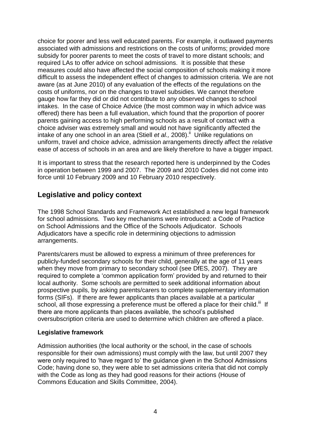<span id="page-6-0"></span>choice for poorer and less well educated parents. For example, it outlawed payments associated with admissions and restrictions on the costs of uniforms; provided more subsidy for poorer parents to meet the costs of travel to more distant schools; and required LAs to offer advice on school admissions. It is possible that these measures could also have affected the social composition of schools making it more difficult to assess the independent effect of changes to admission criteria. We are not aware (as at June 2010) of any evaluation of the effects of the regulations on the costs of uniforms, nor on the changes to travel subsidies. We cannot therefore gauge how far they did or did not contribute to any observed changes to school intakes. In the case of Choice Advice (the most common way in which advice was offered) there has been a full evaluation, which found that the proportion of poorer parents gaining access to high performing schools as a result of contact with a choice adviser was extremely small and would not have significantly affected the intake of any one school in an area (Stiell *et al.,* [2008\).](#page-28-0)<sup>ii</sup> Unlike regulations on uniform, travel and choice advice, admission arrangements directly affect the *relative* ease of access of schools in an area and are likely therefore to have a bigger impact.

It is important to stress that the research reported here is underpinned by the Codes in operation between 1999 and 2007. The 2009 and 2010 Codes did not come into force until 10 February 2009 and 10 February 2010 respectively.

## **Legislative and policy context**

The 1998 School Standards and Framework Act established a new legal framework for school admissions. Two key mechanisms were introduced: a Code of Practice on School Admissions and the Office of the Schools Adjudicator. Schools Adjudicators have a specific role in determining objections to admission arrangements.

Parents/carers must be allowed to express a minimum of three preferences for publicly-funded secondary schools for their child, generally at the age of 11 years when they move from primary to secondary school (see DfES, 2007). They are required to complete a 'common application form' provided by and returned to their local authority. Some schools are permitted to seek additional information about prospective pupils, by asking parents/carers to complete supplementary information forms (SIFs). If there are fewer applicants than places available at a particular school, all those expressing a preference must be offered a place for their [child.](#page-28-0)<sup>iii</sup> If there are more applicants than places available, the school's published oversubscription criteria are used to determine which children are offered a place.

#### **Legislative framework**

Admission authorities (the local authority or the school, in the case of schools responsible for their own admissions) must comply with the law, but until 2007 they were only required to 'have regard to' the guidance given in the School Admissions Code; having done so, they were able to set admissions criteria that did not comply with the Code as long as they had good reasons for their actions (House of Commons Education and Skills Committee, 2004).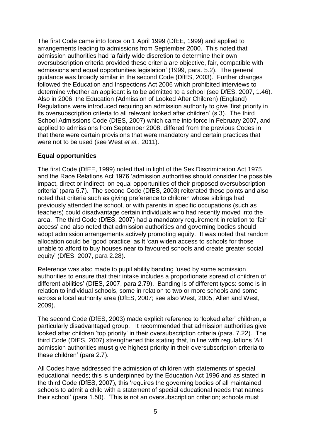<span id="page-7-0"></span>The first Code came into force on 1 April 1999 (DfEE, 1999) and applied to arrangements leading to admissions from September 2000. This noted that admission authorities had 'a fairly wide discretion to determine their own oversubscription criteria provided these criteria are objective, fair, compatible with admissions and equal opportunities legislation' (1999, para. 5.2). The general guidance was broadly similar in the second Code (DfES, 2003). Further changes followed the Education and Inspections Act 2006 which prohibited interviews to determine whether an applicant is to be admitted to a school (see DfES, 2007, 1.46). Also in 2006, the Education (Admission of Looked After Children) (England) Regulations were introduced requiring an admission authority to give 'first priority in its oversubscription criteria to all relevant looked after children' (s 3). The third School Admissions Code (DfES, 2007) which came into force in February 2007, and applied to admissions from September 2008, differed from the previous Codes in that there were certain provisions that were mandatory and certain practices that were not to be used (see West *et al.*, 2011).

#### **Equal opportunities**

The first Code (DfEE, 1999) noted that in light of the Sex Discrimination Act 1975 and the Race Relations Act 1976 'admission authorities should consider the possible impact, direct or indirect, on equal opportunities of their proposed oversubscription criteria' (para 5.7). The second Code (DfES, 2003) reiterated these points and also noted that criteria such as giving preference to children whose siblings had previously attended the school, or with parents in specific occupations (such as teachers) could disadvantage certain individuals who had recently moved into the area. The third Code (DfES, 2007) had a mandatory requirement in relation to 'fair access' and also noted that admission authorities and governing bodies should adopt admission arrangements actively promoting equity. It was noted that random allocation could be 'good practice' as it 'can widen access to schools for those unable to afford to buy houses near to favoured schools and create greater social equity' (DfES, 2007, para 2.28).

Reference was also made to pupil ability banding 'used by some admission authorities to ensure that their intake includes a proportionate spread of children of different abilities' (DfES, 2007, para 2.79). Banding is of different types: some is in relation to individual schools, some in relation to two or more schools and some across a local authority area (DfES, 2007; see also West, 2005; Allen and West, 2009).

The second Code (DfES, 2003) made explicit reference to 'looked after' children, a particularly disadvantaged group. It recommended that admission authorities give looked after children 'top priority' in their oversubscription criteria (para. 7.22). The third Code (DfES, 2007) strengthened this stating that, in line with regulations 'All admission authorities **must** give highest priority in their oversubscription criteria to these children' (para 2.7).

All Codes have addressed the admission of children with statements of special educational needs; this is underpinned by the Education Act 1996 and as stated in the third Code (DfES, 2007), this 'requires the governing bodies of all maintained schools to admit a child with a statement of special educational needs that names their school' (para 1.50). 'This is not an oversubscription criterion; schools must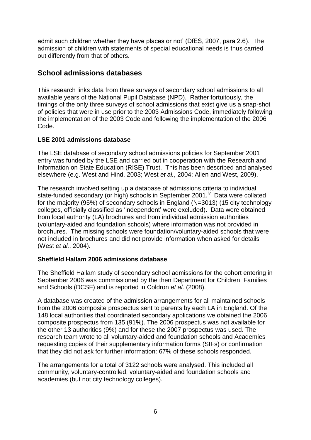<span id="page-8-0"></span>admit such children whether they have places or not' (DfES, 2007, para 2.6). The admission of children with statements of special educational needs is thus carried out differently from that of others.

## **School admissions databases**

This research links data from three surveys of secondary school admissions to all available years of the National Pupil Database (NPD). Rather fortuitously, the timings of the only three surveys of school admissions that exist give us a snap-shot of policies that were in use prior to the 2003 Admissions Code, immediately following the implementation of the 2003 Code and following the implementation of the 2006 Code.

## **LSE 2001 admissions database**

The LSE database of secondary school admissions policies for September 2001 entry was funded by the LSE and carried out in cooperation with the Research and Information on State Education (RISE) Trust. This has been described and analysed elsewhere (e.g. West and Hind, 2003; West *et al.*, 2004; Allen and West, 2009).

The research involved setting up a database of admissions criteria to individual state-funded secondary (or high) schools in [September 2001.](#page-28-0)<sup>iv</sup> Data were collated for the majority (95%) of secondary schools in England (N=3013) (15 city technology colleges, officially classified as 'independent' were excluded). Data were obtained from local authority (LA) brochures and from individual admission authorities (voluntary-aided and foundation schools) where information was not provided in brochures. The missing schools were foundation/voluntary-aided schools that were not included in brochures and did not provide information when asked for details (West *et al.*, 2004).

## **Sheffield Hallam 2006 admissions database**

The Sheffield Hallam study of secondary school admissions for the cohort entering in September 2006 was commissioned by the then Department for Children, Families and Schools (DCSF) and is reported in Coldron *et al.* (2008).

A database was created of the admission arrangements for all maintained schools from the 2006 composite prospectus sent to parents by each LA in England. Of the 148 local authorities that coordinated secondary applications we obtained the 2006 composite prospectus from 135 (91%). The 2006 prospectus was not available for the other 13 authorities (9%) and for these the 2007 prospectus was used. The research team wrote to all voluntary-aided and foundation schools and Academies requesting copies of their supplementary information forms (SIFs) or confirmation that they did not ask for further information: 67% of these schools responded.

The arrangements for a total of 3122 schools were analysed. This included all community, voluntary-controlled, voluntary-aided and foundation schools and academies (but not city technology colleges).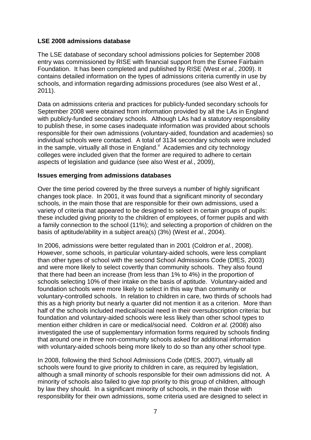#### <span id="page-9-0"></span>**LSE 2008 admissions database**

The LSE database of secondary school admissions policies for September 2008 entry was commissioned by RISE with financial support from the Esmee Fairbairn Foundation. It has been completed and published by RISE (West *et al.*, 2009). It contains detailed information on the types of admissions criteria currently in use by schools, and information regarding admissions procedures (see also West *et al.*, 2011).

Data on admissions criteria and practices for publicly-funded secondary schools for September 2008 were obtained from information provided by all the LAs in England with publicly-funded secondary schools. Although LAs had a statutory responsibility to publish these, in some cases inadequate information was provided about schools responsible for their own admissions (voluntary-aided, foundation and academies) so individual schools were contacted. A total of 3134 secondary schools were included in the sample, virtually all those in [England.](#page-28-0)  $\sqrt{ }$  Academies and city technology colleges were included given that the former are required to adhere to certain aspects of legislation and guidance (see also West *et al.*, 2009),

#### **Issues emerging from admissions databases**

Over the time period covered by the three surveys a number of highly significant changes took place. In 2001, it was found that a significant minority of secondary schools, in the main those that are responsible for their own admissions, used a variety of criteria that appeared to be designed to select in certain groups of pupils: these included giving priority to the children of employees, of former pupils and with a family connection to the school (11%); and selecting a proportion of children on the basis of aptitude/ability in a subject area(s) (3%) (West *et al.*, 2004).

In 2006, admissions were better regulated than in 2001 (Coldron *et al.*, 2008). However, some schools, in particular voluntary-aided schools, were less compliant than other types of school with the second School Admissions Code (DfES, 2003) and were more likely to select covertly than community schools. They also found that there had been an increase (from less than 1% to 4%) in the proportion of schools selecting 10% of their intake on the basis of aptitude. Voluntary-aided and foundation schools were more likely to select in this way than community or voluntary-controlled schools. In relation to children in care, two thirds of schools had this as a high priority but nearly a quarter did not mention it as a criterion. More than half of the schools included medical/social need in their oversubscription criteria: but foundation and voluntary-aided schools were less likely than other school types to mention either children in care or medical/social need. Coldron *et al.* (2008) also investigated the use of supplementary information forms required by schools finding that around one in three non-community schools asked for additional information with voluntary-aided schools being more likely to do so than any other school type.

In 2008, following the third School Admissions Code (DfES, 2007), virtually all schools were found to give priority to children in care, as required by legislation, although a small minority of schools responsible for their own admissions did not. A minority of schools also failed to give *top* priority to this group of children, although by law they should. In a significant minority of schools, in the main those with responsibility for their own admissions, some criteria used are designed to select in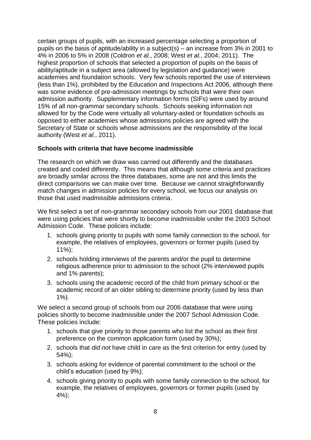<span id="page-10-0"></span>certain groups of pupils, with an increased percentage selecting a proportion of pupils on the basis of aptitude/ability in a subject(s) – an increase from 3% in 2001 to 4% in 2006 to 5% in 2008 (Coldron *et al.*, 2008; West *et al.*, 2004; 2011). The highest proportion of schools that selected a proportion of pupils on the basis of ability/aptitude in a subject area (allowed by legislation and guidance) were academies and foundation schools. Very few schools reported the use of interviews (less than 1%), prohibited by the Education and Inspections Act 2006, although there was some evidence of pre-admission meetings by schools that were their own admission authority. Supplementary information forms (SIFs) were used by around 15% of all non-grammar secondary schools. Schools seeking information not allowed for by the Code were virtually all voluntary-aided or foundation schools as opposed to either academies whose admissions policies are agreed with the Secretary of State or schools whose admissions are the responsibility of the local authority (West *et al.*, 2011).

#### **Schools with criteria that have become inadmissible**

The research on which we draw was carried out differently and the databases created and coded differently. This means that although some criteria and practices are broadly similar across the three databases, some are not and this limits the direct comparisons we can make over time. Because we cannot straightforwardly match changes in admission policies for every school, we focus our analysis on those that used inadmissible admissions criteria.

We first select a set of non-grammar secondary schools from our 2001 database that were using policies that were shortly to become inadmissible under the 2003 School Admission Code. These policies include:

- 1. schools giving priority to pupils with some family connection to the school, for example, the relatives of employees, governors or former pupils (used by 11%);
- 2. schools holding interviews of the parents and/or the pupil to determine religious adherence prior to admission to the school (2% interviewed pupils and 1% parents);
- 3. schools using the academic record of the child from primary school or the academic record of an older sibling to determine priority (used by less than 1%).

We select a second group of schools from our 2006 database that were using policies shortly to become inadmissible under the 2007 School Admission Code. These policies include:

- 1. schools that give priority to those parents who list the school as their first preference on the common application form (used by 30%);
- 2. schools that *did not* have child in care as the first criterion for entry (used by 54%);
- 3. schools asking for evidence of parental commitment to the school or the child's education (used by 9%);
- 4. schools giving priority to pupils with some family connection to the school, for example, the relatives of employees, governors or former pupils (used by 4%);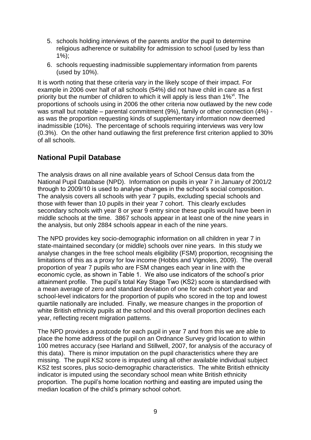- <span id="page-11-0"></span>5. schools holding interviews of the parents and/or the pupil to determine religious adherence or suitability for admission to school (used by less than  $1\%$ :
- 6. schools requesting inadmissible supplementary information from parents (used by 10%).

It is worth noting that these criteria vary in the likely scope of their impact. For example in 2006 over half of all schools (54%) did not have child in care as a first priority but the number of children to which it will apply is less than [1%](#page-28-0)<sup>vi</sup>. The proportions of schools using in 2006 the other criteria now outlawed by the new code was small but notable – parental commitment (9%), family or other connection (4%) as was the proportion requesting kinds of supplementary information now deemed inadmissible (10%). The percentage of schools requiring interviews was very low (0.3%). On the other hand outlawing the first preference first criterion applied to 30% of all schools.

## **National Pupil Database**

The analysis draws on all nine available years of School Census data from the National Pupil Database (NPD). Information on pupils in year 7 in January of 2001/2 through to 2009/10 is used to analyse changes in the school's social composition. The analysis covers all schools with year 7 pupils, excluding special schools and those with fewer than 10 pupils in their year 7 cohort. This clearly excludes secondary schools with year 8 or year 9 entry since these pupils would have been in middle schools at the time. 3867 schools appear in at least one of the nine years in the analysis, but only 2884 schools appear in each of the nine years.

The NPD provides key socio-demographic information on all children in year 7 in state-maintained secondary (or middle) schools over nine years. In this study we analyse changes in the free school meals eligibility (FSM) proportion, recognising the limitations of this as a proxy for low income (Hobbs and Vignoles, 2009). The overall proportion of year 7 pupils who are FSM changes each year in line with the economic cycle, as shown in Table 1. We also use indicators of the school's prior attainment profile. The pupil's total Key Stage Two (KS2) score is standardised with a mean average of zero and standard deviation of one for each cohort year and school-level indicators for the proportion of pupils who scored in the top and lowest quartile nationally are included. Finally, we measure changes in the proportion of white British ethnicity pupils at the school and this overall proportion declines each year, reflecting recent migration patterns.

The NPD provides a postcode for each pupil in year 7 and from this we are able to place the home address of the pupil on an Ordnance Survey grid location to within 100 metres accuracy (see Harland and Stillwell, 2007, for analysis of the accuracy of this data). There is minor imputation on the pupil characteristics where they are missing. The pupil KS2 score is imputed using all other available individual subject KS2 test scores, plus socio-demographic characteristics. The white British ethnicity indicator is imputed using the secondary school mean white British ethnicity proportion. The pupil's home location northing and easting are imputed using the median location of the child's primary school cohort.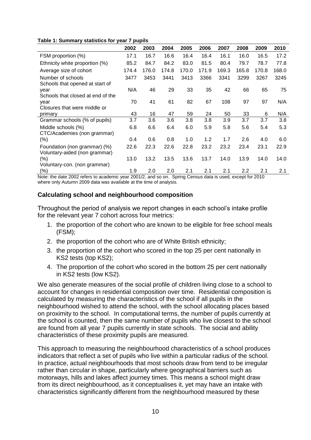<span id="page-12-0"></span>

|  | Table 1: Summary statistics for year 7 pupils |  |  |
|--|-----------------------------------------------|--|--|
|  |                                               |  |  |

|                                   | 2002  | 2003  | 2004  | 2005  | 2006  | 2007  | 2008  | 2009  | 2010  |
|-----------------------------------|-------|-------|-------|-------|-------|-------|-------|-------|-------|
| FSM proportion (%)                | 17.1  | 16.7  | 16.6  | 16.4  | 16.4  | 16.1  | 16.0  | 16.5  | 17.2  |
| Ethnicity white proportion (%)    | 85.2  | 84.7  | 84.2  | 83.0  | 81.5  | 80.4  | 79.7  | 78.7  | 77.8  |
| Average size of cohort            | 174.4 | 176.0 | 174.8 | 170.0 | 171.9 | 169.3 | 165.8 | 170.8 | 168.0 |
| Number of schools                 | 3477  | 3453  | 3441  | 3413  | 3366  | 3341  | 3299  | 3267  | 3245  |
| Schools that opened at start of   |       |       |       |       |       |       |       |       |       |
| year                              | N/A   | 46    | 29    | 33    | 35    | 42    | 66    | 65    | 75    |
| Schools that closed at end of the |       |       |       |       |       |       |       |       |       |
| year                              | 70    | 41    | 61    | 82    | 67    | 108   | 97    | 97    | N/A   |
| Closures that were middle or      |       |       |       |       |       |       |       |       |       |
| primary                           | 43    | 16    | 47    | 59    | 24    | 50    | 33    | 6     | N/A   |
| Grammar schools (% of pupils)     | 3.7   | 3.6   | 3.6   | 3.8   | 3.8   | 3.9   | 3.7   | 3.7   | 3.8   |
| Middle schools (%)                | 6.8   | 6.6   | 6.4   | 6.0   | 5.9   | 5.8   | 5.6   | 5.4   | 5.3   |
| CTC/Academies (non grammar)       |       |       |       |       |       |       |       |       |       |
| (% )                              | 0.4   | 0.6   | 0.8   | 1.0   | 1.2   | 1.7   | 2.6   | 4.0   | 6.0   |
| Foundation (non grammar) (%)      | 22.6  | 22.3  | 22.6  | 22.8  | 23.2  | 23.2  | 23.4  | 23.1  | 22.9  |
| Voluntary-aided (non grammar)     |       |       |       |       |       |       |       |       |       |
| (%)                               | 13.0  | 13.2  | 13.5  | 13.6  | 13.7  | 14.0  | 13.9  | 14.0  | 14.0  |
| Voluntary-con. (non grammar)      |       |       |       |       |       |       |       |       |       |
| (%)                               | 1.9   | 2.0   | 2.0   | 2.1   | 2.1   | 2.1   | 2.2   | 2.1   | 2.1   |

Note: the date 2002 refers to academic year 2001/2, and so on. Spring Census data is used, except for 2010 where only Autumn 2009 data was available at the time of analysis.

#### **Calculating school and neighbourhood composition**

Throughout the period of analysis we report changes in each school's intake profile for the relevant year 7 cohort across four metrics:

- 1. the proportion of the cohort who are known to be eligible for free school meals (FSM);
- 2. the proportion of the cohort who are of White British ethnicity;
- 3. the proportion of the cohort who scored in the top 25 per cent nationally in KS2 tests (top KS2);
- 4. The proportion of the cohort who scored in the bottom 25 per cent nationally in KS2 tests (low KS2).

We also generate measures of the social profile of children living close to a school to account for changes in residential composition over time. Residential composition is calculated by measuring the characteristics of the school if all pupils in the neighbourhood wished to attend the school, with the school allocating places based on proximity to the school. In computational terms, the number of pupils currently at the school is counted, then the same number of pupils who live closest to the school are found from all year 7 pupils currently in state schools. The social and ability characteristics of these proximity pupils are measured.

This approach to measuring the neighbourhood characteristics of a school produces indicators that reflect a set of pupils who live within a particular radius of the school. In practice, actual neighbourhoods that most schools draw from tend to be irregular rather than circular in shape, particularly where geographical barriers such as motorways, hills and lakes affect journey times. This means a school might draw from its direct neighbourhood, as it conceptualises it, yet may have an intake with characteristics significantly different from the neighbourhood measured by these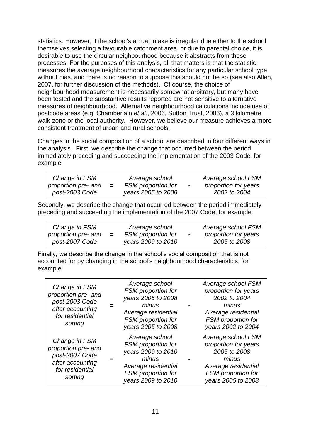statistics. However, if the school's actual intake is irregular due either to the school themselves selecting a favourable catchment area, or due to parental choice, it is desirable to use the circular neighbourhood because it abstracts from these processes. For the purposes of this analysis, all that matters is that the statistic measures the average neighbourhood characteristics for any particular school type without bias, and there is no reason to suppose this should not be so (see also Allen, 2007, for further discussion of the methods). Of course, the choice of neighbourhood measurement is necessarily somewhat arbitrary, but many have been tested and the substantive results reported are not sensitive to alternative measures of neighbourhood. Alternative neighbourhood calculations include use of postcode areas (e.g. Chamberlain *et al.*, 2006, Sutton Trust, 2006), a 3 kilometre walk-zone or the local authority. However, we believe our measure achieves a more consistent treatment of urban and rural schools.

Changes in the social composition of a school are described in four different ways in the analysis. First, we describe the change that occurred between the period immediately preceding and succeeding the implementation of the 2003 Code, for example:

| Change in FSM       |     | Average school            |           | Average school FSM   |
|---------------------|-----|---------------------------|-----------|----------------------|
| proportion pre- and | $=$ | <b>FSM</b> proportion for | $\,$ $\,$ | proportion for years |
| post-2003 Code      |     | years 2005 to 2008        |           | 2002 to 2004         |

Secondly, we describe the change that occurred between the period immediately preceding and succeeding the implementation of the 2007 Code, for example:

| Change in FSM       |     | Average school     |                          | Average school FSM   |
|---------------------|-----|--------------------|--------------------------|----------------------|
| proportion pre- and | $=$ | FSM proportion for | $\overline{\phantom{0}}$ | proportion for years |
| post-2007 Code      |     | years 2009 to 2010 |                          | 2005 to 2008         |

Finally, we describe the change in the school's social composition that is not accounted for by changing in the school's neighbourhood characteristics, for example:

| Change in FSM<br>proportion pre- and<br>post-2003 Code<br>after accounting<br>for residential<br>sorting | Average school<br>FSM proportion for<br>years 2005 to 2008<br>minus<br>Average residential<br>FSM proportion for<br>years 2005 to 2008 | Average school FSM<br>proportion for years<br>2002 to 2004<br>minus<br>Average residential<br>FSM proportion for<br>years 2002 to 2004 |
|----------------------------------------------------------------------------------------------------------|----------------------------------------------------------------------------------------------------------------------------------------|----------------------------------------------------------------------------------------------------------------------------------------|
| Change in FSM<br>proportion pre- and<br>post-2007 Code<br>after accounting<br>for residential<br>sorting | Average school<br>FSM proportion for<br>years 2009 to 2010<br>minus<br>Average residential<br>FSM proportion for<br>years 2009 to 2010 | Average school FSM<br>proportion for years<br>2005 to 2008<br>minus<br>Average residential<br>FSM proportion for<br>years 2005 to 2008 |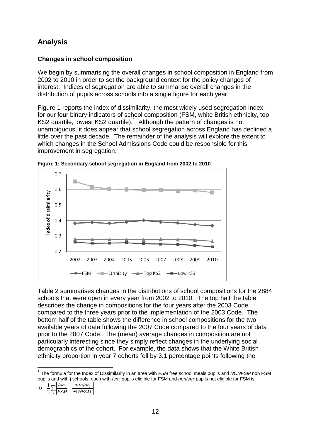# <span id="page-14-0"></span>**Analysis**

## **Changes in school composition**

We begin by summarising the overall changes in school composition in England from 2002 to 2010 in order to set the background context for the policy changes of interest. Indices of segregation are able to summarise overall changes in the distribution of pupils across schools into a single figure for each year.

Figure 1 reports the index of dissimilarity, the most widely used segregation index, for our four binary indicators of school composition (FSM, white British ethnicity, top KS2 quartile, lowest KS2 quartile).<sup>1</sup> Although the pattern of changes is not unambiguous, it does appear that school segregation across England has declined a little over the past decade. The remainder of the analysis will explore the extent to which changes in the School Admissions Code could be responsible for this improvement in segregation.



**Figure 1: Secondary school segregation in England from 2002 to 2010** 

Table 2 summarises changes in the distributions of school compositions for the 2884 schools that were open in every year from 2002 to 2010. The top half the table describes the change in compositions for the four years after the 2003 Code compared to the three years prior to the implementation of the 2003 Code. The bottom half of the table shows the difference in school compositions for the two available years of data following the 2007 Code compared to the four years of data prior to the 2007 Code. The (mean) average changes in composition are not particularly interesting since they simply reflect changes in the underlying social demographics of the cohort. For example, the data shows that the White British ethnicity proportion in year 7 cohorts fell by 3.1 percentage points following the

$$
D = \frac{1}{2} \sum_{j} \left| \frac{f s m_j}{FSM} - \frac{n \text{ on } f s m_j}{N \text{ ONFSM}} \right|
$$

l

<sup>1</sup> The formula for the Index of Dissimilarity in an area with *FSM* free school meals pupils and *NONFSM* non FSM pupils and with j schools, each with *fsmj* pupils eligible for FSM and *nonfsmj* pupils not eligible for FSM is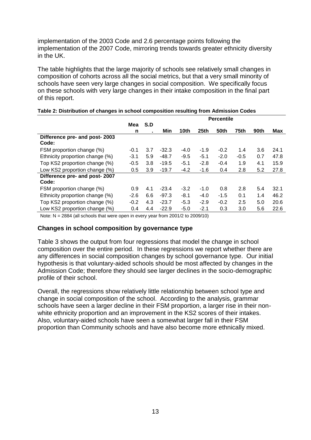<span id="page-15-0"></span>implementation of the 2003 Code and 2.6 percentage points following the implementation of the 2007 Code, mirroring trends towards greater ethnicity diversity in the UK.

The table highlights that the large majority of schools see relatively small changes in composition of cohorts across all the social metrics, but that a very small minority of schools have seen very large changes in social composition. We specifically focus on these schools with very large changes in their intake composition in the final part of this report.

|                                 |        |     | <b>Percentile</b> |        |                  |        |        |      |      |  |  |  |
|---------------------------------|--------|-----|-------------------|--------|------------------|--------|--------|------|------|--|--|--|
|                                 | Mea    | S.D |                   |        |                  |        |        |      |      |  |  |  |
|                                 | n      |     | Min               | 10th   | 25 <sub>th</sub> | 50th   | 75th   | 90th | Max  |  |  |  |
| Difference pre- and post- 2003  |        |     |                   |        |                  |        |        |      |      |  |  |  |
| Code:                           |        |     |                   |        |                  |        |        |      |      |  |  |  |
| FSM proportion change (%)       | $-0.1$ | 3.7 | $-32.3$           | $-4.0$ | $-1.9$           | $-0.2$ | 1.4    | 3.6  | 24.1 |  |  |  |
| Ethnicity proportion change (%) | $-3.1$ | 5.9 | $-48.7$           | $-9.5$ | $-5.1$           | $-2.0$ | $-0.5$ | 0.7  | 47.8 |  |  |  |
| Top KS2 proportion change (%)   | $-0.5$ | 3.8 | $-19.5$           | $-5.1$ | $-2.8$           | $-0.4$ | 1.9    | 4.1  | 15.9 |  |  |  |
| Low KS2 proportion change (%)   | 0.5    | 3.9 | $-19.7$           | $-4.2$ | $-1.6$           | 0.4    | 2.8    | 5.2  | 27.8 |  |  |  |
| Difference pre- and post- 2007  |        |     |                   |        |                  |        |        |      |      |  |  |  |
| Code:                           |        |     |                   |        |                  |        |        |      |      |  |  |  |
| FSM proportion change (%)       | 0.9    | 4.1 | $-23.4$           | $-3.2$ | $-1.0$           | 0.8    | 2.8    | 5.4  | 32.1 |  |  |  |
| Ethnicity proportion change (%) | $-2.6$ | 6.6 | $-97.3$           | $-8.1$ | $-4.0$           | $-1.5$ | 0.1    | 1.4  | 46.2 |  |  |  |
| Top KS2 proportion change (%)   | $-0.2$ | 4.3 | $-23.7$           | $-5.3$ | $-2.9$           | $-0.2$ | 2.5    | 5.0  | 20.6 |  |  |  |
| Low KS2 proportion change (%)   | 0.4    | 4.4 | $-22.9$           | $-5.0$ | $-2.1$           | 0.3    | 3.0    | 5.6  | 22.6 |  |  |  |

#### **Table 2: Distribution of changes in school composition resulting from Admission Codes**

Note: N = 2884 (all schools that were open in every year from 2001/2 to 2009/10)

#### **Changes in school composition by governance type**

Table 3 shows the output from four regressions that model the change in school composition over the entire period. In these regressions we report whether there are any differences in social composition changes by school governance type. Our initial hypothesis is that voluntary-aided schools should be most affected by changes in the Admission Code; therefore they should see larger declines in the socio-demographic profile of their school.

Overall, the regressions show relatively little relationship between school type and change in social composition of the school. According to the analysis, grammar schools have seen a larger decline in their FSM proportion, a larger rise in their nonwhite ethnicity proportion and an improvement in the KS2 scores of their intakes. Also, voluntary-aided schools have seen a somewhat larger fall in their FSM proportion than Community schools and have also become more ethnically mixed.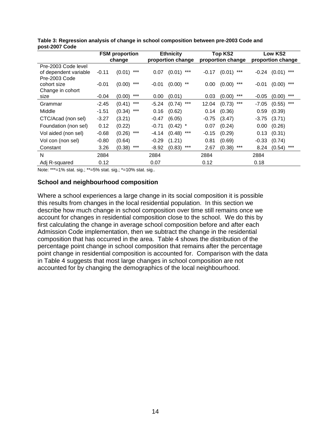|                       | <b>FSM</b> proportion |                 |         | <b>Ethnicity</b>  |         | <b>Top KS2</b>    | Low KS2           |                 |  |
|-----------------------|-----------------------|-----------------|---------|-------------------|---------|-------------------|-------------------|-----------------|--|
|                       |                       | change          |         | proportion change |         | proportion change | proportion change |                 |  |
| Pre-2003 Code level   |                       |                 |         |                   |         |                   |                   |                 |  |
| of dependent variable | $-0.11$               | ***<br>(0.01)   | 0.07    | ***<br>(0.01)     | $-0.17$ | ***<br>(0.01)     | -0.24             | $(0.01)$ ***    |  |
| Pre-2003 Code         |                       |                 |         |                   |         |                   |                   |                 |  |
| cohort size           | $-0.01$               | ***<br>(0.00)   | $-0.01$ | $(0.00)$ **       | 0.00    | ***<br>(0.00)     | $-0.01$           | $(0.00)$ ***    |  |
| Change in cohort      |                       |                 |         |                   |         |                   |                   |                 |  |
| size                  | $-0.04$               | ***<br>(0.00)   | 0.00    | (0.01)            | 0.03    | ***<br>(0.00)     | $-0.05$           | ***<br>(0.00)   |  |
| Grammar               | $-2.45$               | ***<br>(0.41)   | -5.24   | ***<br>(0.74)     | 12.04   | $***$<br>(0.73)   | $-7.05$           | $***$<br>(0.55) |  |
| Middle                | $-1.51$               | $***$<br>(0.34) | 0.16    | (0.62)            | 0.14    | (0.36)            | 0.59              | (0.39)          |  |
| CTC/Acad (non sel)    | $-3.27$               | (3.21)          | $-0.47$ | (6.05)            | $-0.75$ | (3.47)            | -3.75             | (3.71)          |  |
| Foundation (non sel)  | 0.12                  | (0.22)          | $-0.71$ | $(0.42)$ *        | 0.07    | (0.24)            | 0.00              | (0.26)          |  |
| Vol aided (non sel)   | $-0.68$               | ***<br>(0.26)   | -4.14   | $***$<br>(0.48)   | $-0.15$ | (0.29)            | 0.13              | (0.31)          |  |
| Vol con (non sel)     | $-0.80$               | (0.64)          | $-0.29$ | (1.21)            | 0.81    | (0.69)            | $-0.33$           | (0.74)          |  |
| Constant              | 3.26                  | ***<br>(0.38)   | $-8.92$ | ***<br>(0.83)     | 2.67    | ***<br>(0.38)     | 8.24              | ***<br>(0.54)   |  |
| N                     | 2884                  |                 | 2884    |                   | 2884    |                   | 2884              |                 |  |
| Adj R-squared         | 0.12                  |                 | 0.07    |                   | 0.12    |                   | 0.18              |                 |  |

<span id="page-16-0"></span>**Table 3: Regression analysis of change in school composition between pre-2003 Code and post-2007 Code**

Note: \*\*\*=1% stat. sig.; \*\*=5% stat. sig.; \*=10% stat. sig..

#### **School and neighbourhood composition**

Where a school experiences a large change in its social composition it is possible this results from changes in the local residential population. In this section we describe how much change in school composition over time still remains once we account for changes in residential composition close to the school. We do this by first calculating the change in average school composition before and after each Admission Code implementation, then we subtract the change in the residential composition that has occurred in the area. Table 4 shows the distribution of the percentage point change in school composition that remains after the percentage point change in residential composition is accounted for. Comparison with the data in Table 4 suggests that most large changes in school composition are not accounted for by changing the demographics of the local neighbourhood.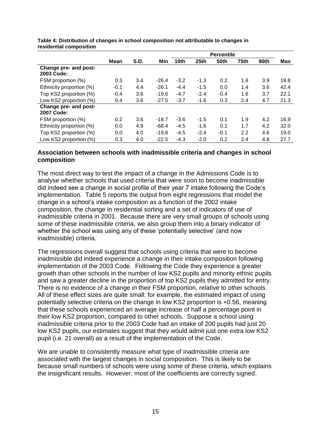|                                     |        |      |         | <b>Percentile</b> |                  |             |      |      |      |  |
|-------------------------------------|--------|------|---------|-------------------|------------------|-------------|------|------|------|--|
|                                     | Mean   | S.D. | Min     | 10 <sub>th</sub>  | 25 <sub>th</sub> | <b>50th</b> | 75th | 90th | Max  |  |
| Change pre- and post-<br>2003 Code: |        |      |         |                   |                  |             |      |      |      |  |
| FSM proportion (%)                  | 0.3    | 3.4  | $-26.4$ | $-3.2$            | $-1.3$           | 0.2         | 1.8  | 3.9  | 19.8 |  |
| Ethnicity proportion (%)            | $-0.1$ | 4.4  | $-26.1$ | $-4.4$            | $-1.5$           | 0.0         | 1.4  | 3.6  | 42.4 |  |
| Top KS2 proportion (%)              | $-0.4$ | 3.6  | $-19.6$ | $-4.7$            | $-2.4$           | $-0.4$      | 1.6  | 3.7  | 22.1 |  |
| Low KS2 proportion (%)              | 0.4    | 3.6  | $-27.5$ | $-3.7$            | $-1.6$           | 0.3         | 2.4  | 4.7  | 21.3 |  |
| Change pre- and post-<br>2007 Code: |        |      |         |                   |                  |             |      |      |      |  |
| FSM proportion (%)                  | 0.2    | 3.6  | $-18.7$ | $-3.6$            | $-1.5$           | 0.1         | 1.9  | 4.2  | 16.9 |  |
| Ethnicity proportion (%)            | 0.0    | 4.9  | $-68.4$ | $-4.5$            | $-1.6$           | 0.1         | 1.7  | 4.2  | 32.0 |  |
| Top KS2 proportion (%)              | 0.0    | 4.0  | $-19.8$ | $-4.5$            | $-2.4$           | $-0.1$      | 2.2  | 4.6  | 19.0 |  |
| Low KS2 proportion (%)              | 0.3    | 4.0  | $-22.5$ | $-4.3$            | $-2.0$           | 0.2         | 2.4  | 4.8  | 27.7 |  |

<span id="page-17-0"></span>**Table 4: Distribution of changes in school composition not attributable to changes in residential composition**

#### **Association between schools with inadmissible criteria and changes in school composition**

The most direct way to test the impact of a change in the Admissions Code is to analyse whether schools that used criteria that were soon to become inadmissible did indeed see a change in social profile of their year 7 intake following the Code's implementation. Table 5 reports the output from eight regressions that model the change in a school's intake composition as a function of the 2002 intake composition, the change in residential sorting and a set of indicators of use of inadmissible criteria in 2001. Because there are very small groups of schools using some of these inadmissible criteria, we also group them into a binary indicator of whether the school was using any of these 'potentially selective' (and now inadmissible) criteria.

The regressions overall suggest that schools using criteria that were to become inadmissible did indeed experience a change in their intake composition following implementation of the 2003 Code. Following the Code they experience a greater growth than other schools in the number of low KS2 pupils and minority ethnic pupils and saw a greater decline in the proportion of top KS2 pupils they admitted for entry. There is no evidence of a change in their FSM proportion, relative to other schools. All of these effect sizes are quite small: for example, the estimated impact of using potentially selective criteria on the change in low KS2 proportion is +0.56, meaning that these schools experienced an average increase of half a percentage point in their low KS2 proportion, compared to other schools. Suppose a school using inadmissible criteria prior to the 2003 Code had an intake of 200 pupils had just 20 low KS2 pupils, our estimates suggest that they would admit just one extra low KS2 pupil (i.e. 21 overall) as a result of the implementation of the Code.

We are unable to consistently measure what type of inadmissible criteria are associated with the largest changes in social composition. This is likely to be because small numbers of schools were using some of these criteria, which explains the insignificant results. However, most of the coefficients are correctly signed.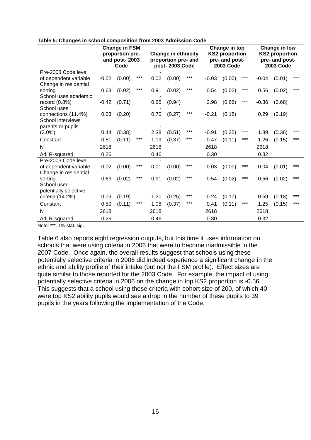|                                                |         | <b>Change in FSM</b><br>proportion pre-<br>and post-2003<br>Code |       |      | <b>Change in ethnicity</b><br>proportion pre- and<br>post-2003 Code |       |         | Change in top<br><b>KS2 proportion</b><br>pre- and post-<br><b>2003 Code</b> |       | Change in low<br><b>KS2 proportion</b><br>pre- and post-<br><b>2003 Code</b> |        |     |
|------------------------------------------------|---------|------------------------------------------------------------------|-------|------|---------------------------------------------------------------------|-------|---------|------------------------------------------------------------------------------|-------|------------------------------------------------------------------------------|--------|-----|
| Pre-2003 Code level                            | $-0.02$ | (0.00)                                                           | $***$ | 0.02 |                                                                     | ***   | $-0.03$ | (0.00)                                                                       | ***   | $-0.04$                                                                      |        | *** |
| of dependent variable<br>Change in residential |         |                                                                  |       |      | (0.00)                                                              |       |         |                                                                              |       |                                                                              | (0.01) |     |
| sorting                                        | 0.63    | (0.02)                                                           | $***$ | 0.91 | (0.02)                                                              | $***$ | 0.54    | (0.02)                                                                       | $***$ | 0.56                                                                         | (0.02) | *** |
| School uses academic                           |         |                                                                  |       |      |                                                                     |       |         |                                                                              | ***   |                                                                              |        |     |
| record $(0.8\%)$<br>School uses                | $-0.42$ | (0.71)                                                           |       | 0.65 | (0.94)                                                              |       | 2.98    | (0.66)                                                                       |       | $-0.36$                                                                      | (0.68) |     |
| connections (11.4%)                            | 0.03    | (0.20)                                                           |       | 0.70 | (0.27)                                                              | ***   | $-0.21$ | (0.18)                                                                       |       | 0.29                                                                         | (0.19) |     |
| School interviews                              |         |                                                                  |       |      |                                                                     |       |         |                                                                              |       |                                                                              |        |     |
| parents or pupils<br>$(3.0\%)$                 | 0.44    | (0.38)                                                           |       | 2.38 | (0.51)                                                              | $***$ | $-0.91$ | (0.35)                                                                       | ***   | 1.39                                                                         | (0.36) | *** |
| Constant                                       | 0.51    | (0.11)                                                           | ***   | 1.19 | (0.37)                                                              | ***   | 0.47    | (0.11)                                                                       | ***   | 1.26                                                                         | (0.15) | *** |
|                                                |         |                                                                  |       |      |                                                                     |       |         |                                                                              |       |                                                                              |        |     |
| N                                              | 2618    |                                                                  |       | 2618 |                                                                     |       | 2618    |                                                                              |       | 2618                                                                         |        |     |
| Adj R-squared                                  | 0.26    |                                                                  |       | 0.46 |                                                                     |       | 0.30    |                                                                              |       | 0.32                                                                         |        |     |
| Pre-2003 Code level                            |         |                                                                  |       |      |                                                                     |       |         |                                                                              |       |                                                                              |        |     |
| of dependent variable<br>Change in residential | $-0.02$ | (0.00)                                                           | ***   | 0.01 | (0.00)                                                              | ***   | $-0.03$ | (0.00)                                                                       | ***   | $-0.04$                                                                      | (0.01) | *** |
| sorting                                        | 0.63    | (0.02)                                                           | $***$ | 0.91 | (0.02)                                                              | ***   | 0.54    | (0.02)                                                                       | ***   | 0.56                                                                         | (0.02) | *** |
| School used                                    |         |                                                                  |       |      |                                                                     |       |         |                                                                              |       |                                                                              |        |     |
| potentially selective                          |         |                                                                  |       |      |                                                                     |       |         |                                                                              |       |                                                                              |        |     |
| criteria $(14.2%)$                             | 0.09    | (0.19)                                                           |       | 1.20 | (0.25)                                                              | ***   | $-0.24$ | (0.17)                                                                       |       | 0.59                                                                         | (0.18) | *** |
| Constant                                       | 0.50    | (0.11)                                                           | ***   | 1.08 | (0.37)                                                              | ***   | 0.41    | (0.11)                                                                       | ***   | 1.25                                                                         | (0.15) | *** |
| N                                              | 2618    |                                                                  |       | 2618 |                                                                     |       | 2618    |                                                                              |       | 2618                                                                         |        |     |
| Adj R-squared                                  | 0.26    |                                                                  |       | 0.46 |                                                                     |       | 0.30    |                                                                              |       | 0.32                                                                         |        |     |

#### **Table 5: Changes in school composition from 2003 Admission Code**

Note: \*\*\*=1% stat. sig.

Table 6 also reports eight regression outputs, but this time it uses information on schools that were using criteria in 2006 that were to become inadmissible in the 2007 Code. Once again, the overall results suggest that schools using these potentially selective criteria in 2006 did indeed experience a significant change in the ethnic and ability profile of their intake (but not the FSM profile). Effect sizes are quite similar to those reported for the 2003 Code. For example, the impact of using potentially selective criteria in 2006 on the change in top KS2 proportion is -0.56. This suggests that a school using these criteria with cohort size of 200, of which 40 were top KS2 ability pupils would see a drop in the number of these pupils to 39 pupils in the years following the implementation of the Code.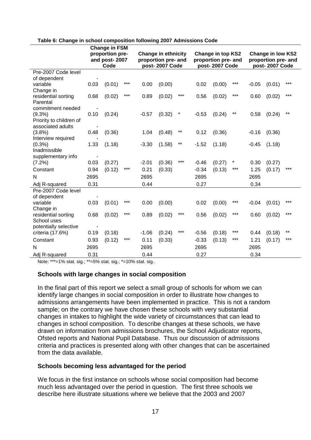|                                              | <b>Change in FSM</b> |                                          |       |         |                                                                     |        |         |                                                                   |        |                                                                   |        |       |  |  |
|----------------------------------------------|----------------------|------------------------------------------|-------|---------|---------------------------------------------------------------------|--------|---------|-------------------------------------------------------------------|--------|-------------------------------------------------------------------|--------|-------|--|--|
|                                              |                      | proportion pre-<br>and post-2007<br>Code |       |         | <b>Change in ethnicity</b><br>proportion pre- and<br>post-2007 Code |        |         | <b>Change in top KS2</b><br>proportion pre- and<br>post-2007 Code |        | <b>Change in low KS2</b><br>proportion pre- and<br>post-2007 Code |        |       |  |  |
| Pre-2007 Code level                          |                      |                                          |       |         |                                                                     |        |         |                                                                   |        |                                                                   |        |       |  |  |
| of dependent                                 |                      |                                          |       |         |                                                                     |        |         |                                                                   |        |                                                                   |        |       |  |  |
| variable                                     | 0.03                 | (0.01)                                   | ***   | 0.00    | (0.00)                                                              |        | 0.02    | (0.00)                                                            | ***    | $-0.05$                                                           | (0.01) | $***$ |  |  |
| Change in                                    |                      |                                          |       |         |                                                                     |        |         |                                                                   |        |                                                                   |        |       |  |  |
| residential sorting                          | 0.68                 | (0.02)                                   | $***$ | 0.89    | (0.02)                                                              | ***    | 0.56    | (0.02)                                                            | $***$  | 0.60                                                              | (0.02) | $***$ |  |  |
| Parental                                     |                      |                                          |       |         |                                                                     |        |         |                                                                   |        |                                                                   |        |       |  |  |
| commitment needed                            |                      |                                          |       |         |                                                                     |        |         |                                                                   | $***$  |                                                                   |        | $***$ |  |  |
| $(9.3\%)$                                    | 0.10                 | (0.24)                                   |       | $-0.57$ | (0.32)                                                              | $\ast$ | $-0.53$ | (0.24)                                                            |        | 0.58                                                              | (0.24) |       |  |  |
| Priority to children of<br>associated adults |                      |                                          |       |         |                                                                     |        |         |                                                                   |        |                                                                   |        |       |  |  |
| (3.8%)                                       | -<br>0.48            | (0.36)                                   |       | 1.04    | (0.48)                                                              | $***$  | 0.12    | (0.36)                                                            |        | $-0.16$                                                           | (0.36) |       |  |  |
| Interview required                           |                      |                                          |       |         |                                                                     |        |         |                                                                   |        |                                                                   |        |       |  |  |
| (0.3%)                                       | 1.33                 | (1.18)                                   |       | $-3.30$ | (1.58)                                                              | $***$  | $-1.52$ | (1.18)                                                            |        | $-0.45$                                                           | (1.18) |       |  |  |
| Inadmissible                                 |                      |                                          |       |         |                                                                     |        |         |                                                                   |        |                                                                   |        |       |  |  |
| supplementary info                           |                      |                                          |       |         |                                                                     |        |         |                                                                   |        |                                                                   |        |       |  |  |
| $(7.2\%)$                                    | 0.03                 | (0.27)                                   |       | $-2.01$ | (0.36)                                                              | ***    | $-0.46$ | (0.27)                                                            | $\ast$ | 0.30                                                              | (0.27) |       |  |  |
| Constant                                     | 0.94                 | (0.12)                                   | $***$ | 0.21    | (0.33)                                                              |        | $-0.34$ | (0.13)                                                            | $***$  | 1.25                                                              | (0.17) | $***$ |  |  |
| N                                            | 2695                 |                                          |       | 2695    |                                                                     |        | 2695    |                                                                   |        | 2695                                                              |        |       |  |  |
| Adj R-squared                                | 0.31                 |                                          |       | 0.44    |                                                                     |        | 0.27    |                                                                   |        | 0.34                                                              |        |       |  |  |
| Pre-2007 Code level                          |                      |                                          |       |         |                                                                     |        |         |                                                                   |        |                                                                   |        |       |  |  |
| of dependent                                 |                      |                                          |       |         |                                                                     |        |         |                                                                   |        |                                                                   |        |       |  |  |
| variable                                     | 0.03                 | (0.01)                                   | ***   | 0.00    | (0.00)                                                              |        | 0.02    | (0.00)                                                            | ***    | $-0.04$                                                           | (0.01) | ***   |  |  |
| Change in                                    |                      |                                          |       |         |                                                                     |        |         |                                                                   |        |                                                                   |        |       |  |  |
| residential sorting                          | 0.68                 | (0.02)                                   | ***   | 0.89    | (0.02)                                                              | ***    | 0.56    | (0.02)                                                            | ***    | 0.60                                                              | (0.02) | ***   |  |  |
| School uses                                  |                      |                                          |       |         |                                                                     |        |         |                                                                   |        |                                                                   |        |       |  |  |
| potentially selective                        | $\blacksquare$       |                                          |       |         |                                                                     |        |         |                                                                   |        |                                                                   |        |       |  |  |
| criteria (17.6%)                             | 0.19                 | (0.18)                                   |       | $-1.06$ | (0.24)                                                              | ***    | $-0.56$ | (0.18)                                                            | $***$  | 0.44                                                              | (0.18) | $***$ |  |  |
| Constant                                     | 0.93                 | (0.12)                                   | ***   | 0.11    | (0.33)                                                              |        | $-0.33$ | (0.13)                                                            | ***    | 1.21                                                              | (0.17) | ***   |  |  |
| N                                            | 2695                 |                                          |       | 2695    |                                                                     |        | 2695    |                                                                   |        | 2695                                                              |        |       |  |  |
| Adj R-squared                                | 0.31                 |                                          |       | 0.44    |                                                                     |        | 0.27    |                                                                   |        | 0.34                                                              |        |       |  |  |

#### <span id="page-19-0"></span>**Table 6: Change in school composition following 2007 Admissions Code**

Note: \*\*\*=1% stat. sig.; \*\*=5% stat. sig.; \*=10% stat. sig..

#### **Schools with large changes in social composition**

In the final part of this report we select a small group of schools for whom we can identify large changes in social composition in order to illustrate how changes to admissions arrangements have been implemented in practice. This is not a random sample; on the contrary we have chosen these schools with very substantial changes in intakes to highlight the wide variety of circumstances that can lead to changes in school composition. To describe changes at these schools, we have drawn on information from admissions brochures, the School Adjudicator reports, Ofsted reports and National Pupil Database. Thus our discussion of admissions criteria and practices is presented along with other changes that can be ascertained from the data available.

#### **Schools becoming less advantaged for the period**

We focus in the first instance on schools whose social composition had become much less advantaged over the period in question. The first three schools we describe here illustrate situations where we believe that the 2003 and 2007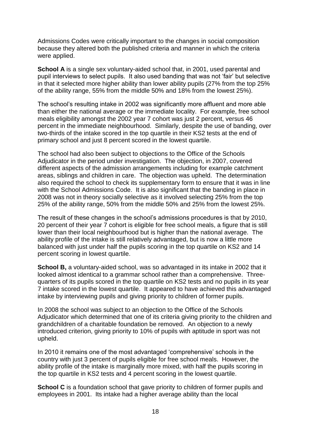Admissions Codes were critically important to the changes in social composition because they altered both the published criteria and manner in which the criteria were applied.

**School A** is a single sex voluntary-aided school that, in 2001, used parental and pupil interviews to select pupils. It also used banding that was not 'fair' but selective in that it selected more higher ability than lower ability pupils (27% from the top 25% of the ability range, 55% from the middle 50% and 18% from the lowest 25%).

The school's resulting intake in 2002 was significantly more affluent and more able than either the national average or the immediate locality. For example, free school meals eligibility amongst the 2002 year 7 cohort was just 2 percent, versus 46 percent in the immediate neighbourhood. Similarly, despite the use of banding, over two-thirds of the intake scored in the top quartile in their KS2 tests at the end of primary school and just 8 percent scored in the lowest quartile.

The school had also been subject to objections to the Office of the Schools Adjudicator in the period under investigation. The objection, in 2007, covered different aspects of the admission arrangements including for example catchment areas, siblings and children in care. The objection was upheld. The determination also required the school to check its supplementary form to ensure that it was in line with the School Admissions Code. It is also significant that the banding in place in 2008 was not in theory socially selective as it involved selecting 25% from the top 25% of the ability range, 50% from the middle 50% and 25% from the lowest 25%.

The result of these changes in the school's admissions procedures is that by 2010, 20 percent of their year 7 cohort is eligible for free school meals, a figure that is still lower than their local neighbourhood but is higher than the national average. The ability profile of the intake is still relatively advantaged, but is now a little more balanced with just under half the pupils scoring in the top quartile on KS2 and 14 percent scoring in lowest quartile.

**School B,** a voluntary-aided school, was so advantaged in its intake in 2002 that it looked almost identical to a grammar school rather than a comprehensive. Threequarters of its pupils scored in the top quartile on KS2 tests and no pupils in its year 7 intake scored in the lowest quartile. It appeared to have achieved this advantaged intake by interviewing pupils and giving priority to children of former pupils.

In 2008 the school was subject to an objection to the Office of the Schools Adjudicator which determined that one of its criteria giving priority to the children and grandchildren of a charitable foundation be removed. An objection to a newly introduced criterion, giving priority to 10% of pupils with aptitude in sport was not upheld.

In 2010 it remains one of the most advantaged 'comprehensive' schools in the country with just 3 percent of pupils eligible for free school meals. However, the ability profile of the intake is marginally more mixed, with half the pupils scoring in the top quartile in KS2 tests and 4 percent scoring in the lowest quartile.

**School C** is a foundation school that gave priority to children of former pupils and employees in 2001. Its intake had a higher average ability than the local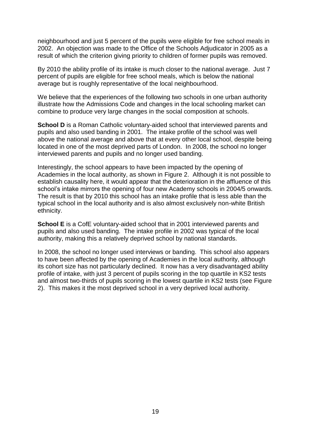neighbourhood and just 5 percent of the pupils were eligible for free school meals in 2002. An objection was made to the Office of the Schools Adjudicator in 2005 as a result of which the criterion giving priority to children of former pupils was removed.

By 2010 the ability profile of its intake is much closer to the national average. Just 7 percent of pupils are eligible for free school meals, which is below the national average but is roughly representative of the local neighbourhood.

We believe that the experiences of the following two schools in one urban authority illustrate how the Admissions Code and changes in the local schooling market can combine to produce very large changes in the social composition at schools.

**School D** is a Roman Catholic voluntary-aided school that interviewed parents and pupils and also used banding in 2001. The intake profile of the school was well above the national average and above that at every other local school, despite being located in one of the most deprived parts of London. In 2008, the school no longer interviewed parents and pupils and no longer used banding.

Interestingly, the school appears to have been impacted by the opening of Academies in the local authority, as shown in Figure 2. Although it is not possible to establish causality here, it would appear that the deterioration in the affluence of this school's intake mirrors the opening of four new Academy schools in 2004/5 onwards. The result is that by 2010 this school has an intake profile that is less able than the typical school in the local authority and is also almost exclusively non-white British ethnicity.

**School E** is a CofE voluntary-aided school that in 2001 interviewed parents and pupils and also used banding. The intake profile in 2002 was typical of the local authority, making this a relatively deprived school by national standards.

In 2008, the school no longer used interviews or banding. This school also appears to have been affected by the opening of Academies in the local authority, although its cohort size has not particularly declined. It now has a very disadvantaged ability profile of intake, with just 3 percent of pupils scoring in the top quartile in KS2 tests and almost two-thirds of pupils scoring in the lowest quartile in KS2 tests (see Figure 2). This makes it the most deprived school in a very deprived local authority.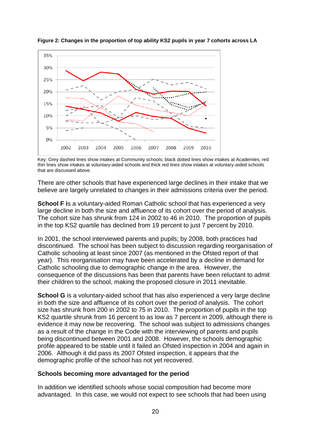

<span id="page-22-0"></span>**Figure 2: Changes in the proportion of top ability KS2 pupils in year 7 cohorts across LA** 

Key: Grey dashed lines show intakes at Community schools; black dotted lines show intakes at Academies; red thin lines show intakes at voluntary-aided schools and thick red lines show intakes at voluntary-aided schools that are discussed above.

There are other schools that have experienced large declines in their intake that we believe are largely unrelated to changes in their admissions criteria over the period.

**School F** is a voluntary-aided Roman Catholic school that has experienced a very large decline in both the size and affluence of its cohort over the period of analysis. The cohort size has shrunk from 124 in 2002 to 46 in 2010. The proportion of pupils in the top KS2 quartile has declined from 19 percent to just 7 percent by 2010.

In 2001, the school interviewed parents and pupils; by 2008, both practices had discontinued. The school has been subject to discussion regarding reorganisation of Catholic schooling at least since 2007 (as mentioned in the Ofsted report of that year). This reorganisation may have been accelerated by a decline in demand for Catholic schooling due to demographic change in the area. However, the consequence of the discussions has been that parents have been reluctant to admit their children to the school, making the proposed closure in 2011 inevitable.

**School G** is a voluntary-aided school that has also experienced a very large decline in both the size and affluence of its cohort over the period of analysis. The cohort size has shrunk from 200 in 2002 to 75 in 2010. The proportion of pupils in the top KS2 quartile shrunk from 16 percent to as low as 7 percent in 2009, although there is evidence it may now be recovering. The school was subject to admissions changes as a result of the change in the Code with the interviewing of parents and pupils being discontinued between 2001 and 2008. However, the schools demographic profile appeared to be stable until it failed an Ofsted inspection in 2004 and again in 2006. Although it did pass its 2007 Ofsted inspection, it appears that the demographic profile of the school has not yet recovered.

#### **Schools becoming more advantaged for the period**

In addition we identified schools whose social composition had become more advantaged. In this case, we would not expect to see schools that had been using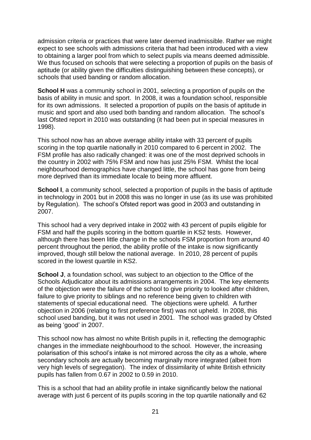admission criteria or practices that were later deemed inadmissible. Rather we might expect to see schools with admissions criteria that had been introduced with a view to obtaining a larger pool from which to select pupils via means deemed admissible. We thus focused on schools that were selecting a proportion of pupils on the basis of aptitude (or ability given the difficulties distinguishing between these concepts), or schools that used banding or random allocation.

**School H** was a community school in 2001, selecting a proportion of pupils on the basis of ability in music and sport. In 2008, it was a foundation school, responsible for its own admissions. It selected a proportion of pupils on the basis of aptitude in music and sport and also used both banding and random allocation. The school's last Ofsted report in 2010 was outstanding (it had been put in special measures in 1998).

This school now has an above average ability intake with 33 percent of pupils scoring in the top quartile nationally in 2010 compared to 6 percent in 2002. The FSM profile has also radically changed: it was one of the most deprived schools in the country in 2002 with 75% FSM and now has just 25% FSM. Whilst the local neighbourhood demographics have changed little, the school has gone from being more deprived than its immediate locale to being more affluent.

**School I**, a community school, selected a proportion of pupils in the basis of aptitude in technology in 2001 but in 2008 this was no longer in use (as its use was prohibited by Regulation). The school's Ofsted report was good in 2003 and outstanding in 2007.

This school had a very deprived intake in 2002 with 43 percent of pupils eligible for FSM and half the pupils scoring in the bottom quartile in KS2 tests. However, although there has been little change in the schools FSM proportion from around 40 percent throughout the period, the ability profile of the intake is now significantly improved, though still below the national average. In 2010, 28 percent of pupils scored in the lowest quartile in KS2.

**School J**, a foundation school, was subject to an objection to the Office of the Schools Adjudicator about its admissions arrangements in 2004. The key elements of the objection were the failure of the school to give priority to looked after children, failure to give priority to siblings and no reference being given to children with statements of special educational need. The objections were upheld. A further objection in 2006 (relating to first preference first) was not upheld. In 2008, this school used banding, but it was not used in 2001. The school was graded by Ofsted as being 'good' in 2007.

This school now has almost no white British pupils in it, reflecting the demographic changes in the immediate neighbourhood to the school. However, the increasing polarisation of this school's intake is not mirrored across the city as a whole, where secondary schools are actually becoming marginally more integrated (albeit from very high levels of segregation). The index of dissimilarity of white British ethnicity pupils has fallen from 0.67 in 2002 to 0.59 in 2010.

This is a school that had an ability profile in intake significantly below the national average with just 6 percent of its pupils scoring in the top quartile nationally and 62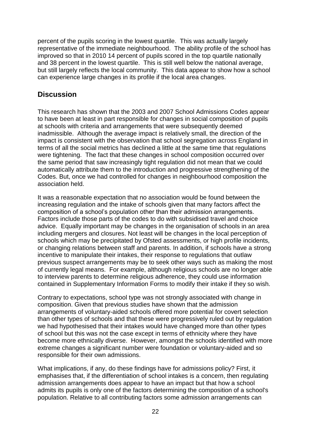<span id="page-24-0"></span>percent of the pupils scoring in the lowest quartile. This was actually largely representative of the immediate neighbourhood. The ability profile of the school has improved so that in 2010 14 percent of pupils scored in the top quartile nationally and 38 percent in the lowest quartile. This is still well below the national average, but still largely reflects the local community. This data appear to show how a school can experience large changes in its profile if the local area changes.

## **Discussion**

This research has shown that the 2003 and 2007 School Admissions Codes appear to have been at least in part responsible for changes in social composition of pupils at schools with criteria and arrangements that were subsequently deemed inadmissible. Although the average impact is relatively small, the direction of the impact is consistent with the observation that school segregation across England in terms of all the social metrics has declined a little at the same time that regulations were tightening. The fact that these changes in school composition occurred over the same period that saw increasingly tight regulation did not mean that we could automatically attribute them to the introduction and progressive strengthening of the Codes. But, once we had controlled for changes in neighbourhood composition the association held.

It was a reasonable expectation that no association would be found between the increasing regulation and the intake of schools given that many factors affect the composition of a school's population other than their admission arrangements. Factors include those parts of the codes to do with subsidised travel and choice advice. Equally important may be changes in the organisation of schools in an area including mergers and closures. Not least will be changes in the local perception of schools which may be precipitated by Ofsted assessments, or high profile incidents, or changing relations between staff and parents. In addition, if schools have a strong incentive to manipulate their intakes, their response to regulations that outlaw previous suspect arrangements may be to seek other ways such as making the most of currently legal means. For example, although religious schools are no longer able to interview parents to determine religious adherence, they could use information contained in Supplementary Information Forms to modify their intake if they so wish.

Contrary to expectations, school type was not strongly associated with change in composition. Given that previous studies have shown that the admission arrangements of voluntary-aided schools offered more potential for covert selection than other types of schools and that these were progressively ruled out by regulation we had hypothesised that their intakes would have changed more than other types of school but this was not the case except in terms of ethnicity where they have become more ethnically diverse. However, amongst the schools identified with more extreme changes a significant number were foundation or voluntary-aided and so responsible for their own admissions.

What implications, if any, do these findings have for admissions policy? First, it emphasises that, if the differentiation of school intakes is a concern, then regulating admission arrangements does appear to have an impact but that how a school admits its pupils is only one of the factors determining the composition of a school's population. Relative to all contributing factors some admission arrangements can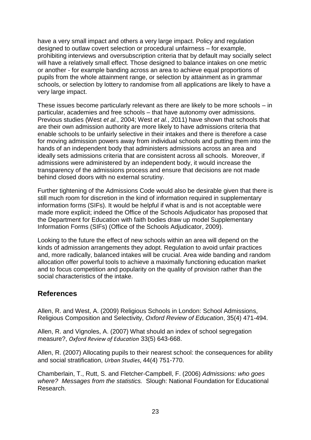<span id="page-25-0"></span>have a very small impact and others a very large impact. Policy and regulation designed to outlaw covert selection or procedural unfairness – for example, prohibiting interviews and oversubscription criteria that by default may socially select will have a relatively small effect. Those designed to balance intakes on one metric or another - for example banding across an area to achieve equal proportions of pupils from the whole attainment range, or selection by attainment as in grammar schools, or selection by lottery to randomise from all applications are likely to have a very large impact.

These issues become particularly relevant as there are likely to be more schools – in particular, academies and free schools – that have autonomy over admissions. Previous studies (West *et al.*, 2004; West *et al.*, 2011) have shown that schools that are their own admission authority are more likely to have admissions criteria that enable schools to be unfairly selective in their intakes and there is therefore a case for moving admission powers away from individual schools and putting them into the hands of an independent body that administers admissions across an area and ideally sets admissions criteria that are consistent across all schools. Moreover, if admissions were administered by an independent body, it would increase the transparency of the admissions process and ensure that decisions are not made behind closed doors with no external scrutiny.

Further tightening of the Admissions Code would also be desirable given that there is still much room for discretion in the kind of information required in supplementary information forms (SIFs). It would be helpful if what is and is not acceptable were made more explicit; indeed the Office of the Schools Adjudicator has proposed that the Department for Education with faith bodies draw up model Supplementary Information Forms (SIFs) (Office of the Schools Adjudicator, 2009).

Looking to the future the effect of new schools within an area will depend on the kinds of admission arrangements they adopt. Regulation to avoid unfair practices and, more radically, balanced intakes will be crucial. Area wide banding and random allocation offer powerful tools to achieve a maximally functioning education market and to focus competition and popularity on the quality of provision rather than the social characteristics of the intake.

## **References**

Allen, R. and West, A. (2009) Religious Schools in London: School Admissions, Religious Composition and Selectivity, *Oxford Review of Education*, 35(4) 471-494.

Allen, R. and Vignoles, A. (2007) What should an index of school segregation measure?, *Oxford Review of Education* 33(5) 643-668.

Allen, R. (2007) Allocating pupils to their nearest school: the consequences for ability and social stratification, *Urban Studies*, 44(4) 751-770.

Chamberlain, T., Rutt, S. and Fletcher-Campbell, F. (2006) *Admissions: who goes where? Messages from the statistics.* Slough: National Foundation for Educational Research.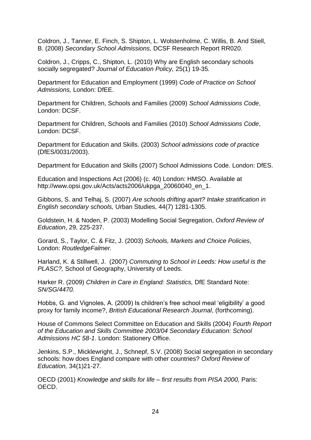Coldron, J., Tanner, E. Finch, S. Shipton, L. Wolstenholme, C. Willis, B. And Stiell, B. (2008) *Secondary School Admissions,* DCSF Research Report RR020.

Coldron, J., Cripps, C., Shipton, L. (2010) Why are English secondary schools socially segregated? *Journal of Education Policy,* 25(1) 19-35*.* 

Department for Education and Employment (1999) *Code of Practice on School Admissions,* London: DfEE.

Department for Children, Schools and Families (2009) *School Admissions Code*, London: DCSF.

Department for Children, Schools and Families (2010) *School Admissions Code*, London: DCSF.

Department for Education and Skills. (2003) *School admissions code of practice* (DfES/0031/2003).

Department for Education and Skills (2007) School Admissions Code. London: DfES.

Education and Inspections Act (2006) (c. 40) London: HMSO. Available at http://www.opsi.gov.uk/Acts/acts2006/ukpga\_20060040\_en\_1.

Gibbons, S. and Telhaj, S. (2007) *Are schools drifting apart? Intake stratification in English secondary schools,* Urban Studies, 44(7) 1281-1305.

Goldstein, H. & Noden, P. (2003) Modelling Social Segregation, *Oxford Review of Education*, 29, 225-237.

Gorard, S., Taylor, C. & Fitz, J. (2003) *Schools, Markets and Choice Policies*, London: *RoutledgeFalmer.* 

Harland, K. & Stillwell, J. (2007) *Commuting to School in Leeds: How useful is the PLASC?,* School of Geography, University of Leeds.

Harker R. (2009) *Children in Care in England: Statistics,* DfE Standard Note: *SN/SG/4470.* 

Hobbs, G. and Vignoles, A. (2009) Is children's free school meal 'eligibility' a good proxy for family income?, *British Educational Research Journal*, (forthcoming).

House of Commons Select Committee on Education and Skills (2004) *Fourth Report of the Education and Skills Committee 2003/04 Secondary Education: School Admissions HC 58-1*. London: Stationery Office.

Jenkins, S.P., Micklewright, J., Schnepf, S.V. (2008) Social segregation in secondary schools: how does England compare with other countries? *Oxford Review of Education,* 34(1)21-27*.* 

OECD (2001) *Knowledge and skills for life – first results from PISA 2000,* Paris: OECD.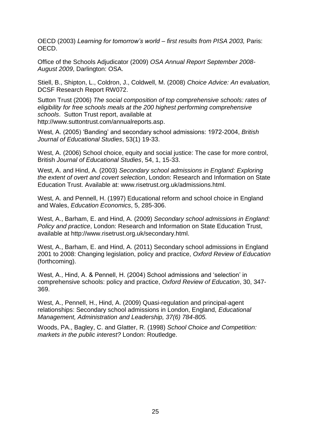OECD (2003) *Learning for tomorrow's world – first results from PISA 2003,* Paris: OECD.

Office of the Schools Adjudicator (2009) *OSA Annual Report September 2008- August 2009*, Darlington: OSA.

Stiell, B., Shipton, L., Coldron, J., Coldwell, M. (2008) *Choice Advice: An evaluation,*  DCSF Research Report RW072.

Sutton Trust (2006) *The social composition of top comprehensive schools: rates of eligibility for free schools meals at the 200 highest performing comprehensive schools*. Sutton Trust report, available at http://www.suttontrust.com/annualreports.asp.

West, A. (2005) 'Banding' and secondary school admissions: 1972-2004, *British Journal of Educational Studies*, 53(1) 19-33.

West, A. (2006) School choice, equity and social justice: The case for more control, British *Journal of Educational Studies*, 54, 1, 15-33.

West, A. and Hind, A. (2003) *Secondary school admissions in England: Exploring the extent of overt and covert selection*, London: Research and Information on State Education Trust. Available at: www.risetrust.org.uk/admissions.html.

West, A. and Pennell, H. (1997) Educational reform and school choice in England and Wales, *Education Economics*, 5, 285-306.

West, A., Barham, E. and Hind, A. (2009) *Secondary school admissions in England: Policy and practice*, London: Research and Information on State Education Trust, available at http://www.risetrust.org.uk/secondary.html.

West, A., Barham, E. and Hind, A. (2011) Secondary school admissions in England 2001 to 2008: Changing legislation, policy and practice, *Oxford Review of Education* (forthcoming).

West, A., Hind, A. & Pennell, H. (2004) School admissions and 'selection' in comprehensive schools: policy and practice, *Oxford Review of Education*, 30, 347- 369.

West, A., Pennell, H., Hind, A. (2009) Quasi-regulation and principal-agent relationships: Secondary school admissions in London, England, *Educational Management, Administration and Leadership, 37(6) 784-805.*

Woods, PA., Bagley, C. and Glatter, R. (1998) *School Choice and Competition: markets in the public interest?* London: Routledge.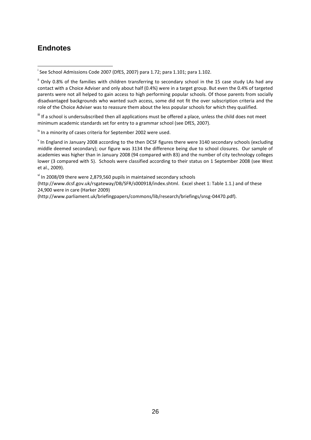## <span id="page-28-0"></span>**Endnotes**

l

If If a school is undersubscribed then all applications must be offered a place, unless the child does not meet minimum academic standards set for entry to a grammar school (see DfES, 2007).

 $\mu$ <sup>iv</sup> In a minority of cases criteria for September 2002 were used.

<sup>v</sup> In England in January 2008 according to the then DCSF figures there were 3140 secondary schools (excluding middle deemed secondary); our figure was 3134 the difference being due to school closures. Our sample of academies was higher than in January 2008 (94 compared with 83) and the number of city technology colleges lower (3 compared with 5). Schools were classified according to their status on 1 September 2008 (see West et al., 2009).

vi In 2008/09 there were 2,879,560 pupils in maintained secondary schools

[\(http://www.dcsf.gov.uk/rsgateway/DB/SFR/s000918/index.shtml.](http://www.dcsf.gov.uk/rsgateway/DB/SFR/s000918/index.shtml) Excel sheet 1: Table 1.1.) and of these 24,900 were in care (Harker 2009)

(http://www.parliament.uk/briefingpapers/commons/lib/research/briefings/snsg-04470.pdf).

i See School Admissions Code 2007 (DfES, 2007) para 1.72; para 1.101; para 1.102.

<sup>&</sup>lt;sup>ii</sup> Only 0.8% of the families with children transferring to secondary school in the 15 case study LAs had any contact with a Choice Adviser and only about half (0.4%) were in a target group. But even the 0.4% of targeted parents were not all helped to gain access to high performing popular schools. Of those parents from socially disadvantaged backgrounds who wanted such access, some did not fit the over subscription criteria and the role of the Choice Adviser was to reassure them about the less popular schools for which they qualified.